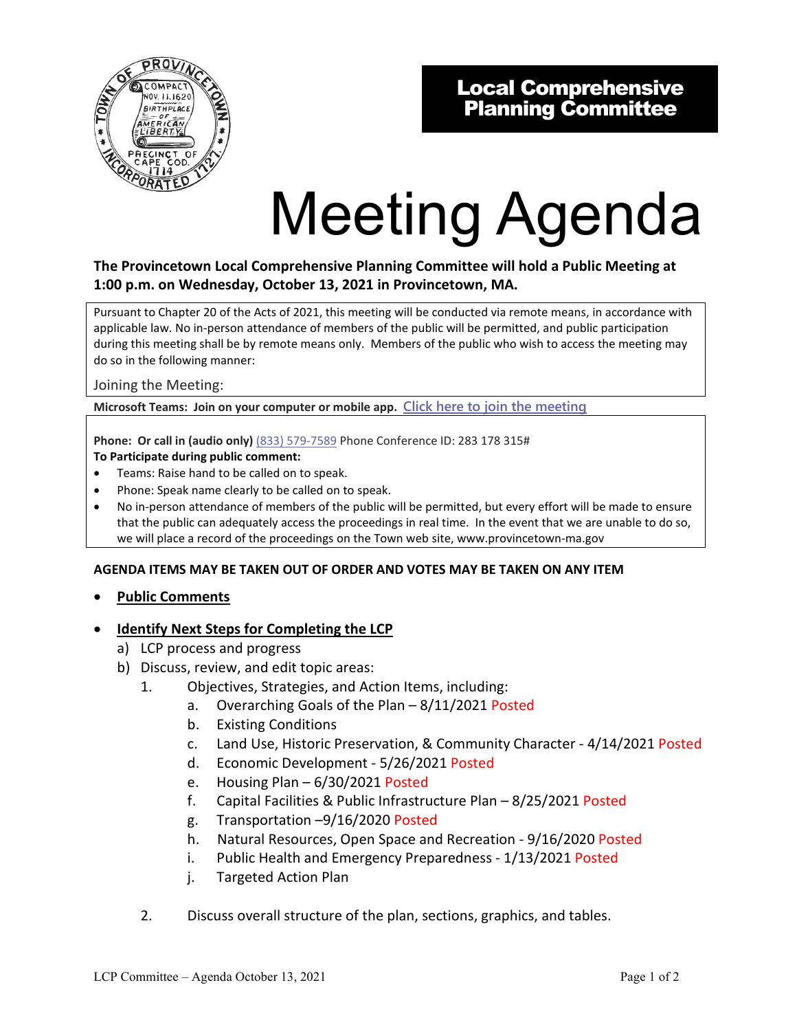

# Local Comprehensive Planning Committee

# Meeting Agenda

# **The Provincetown Local Comprehensive Planning Committee will hold a Public Meeting at 1:00 p.m. on Wednesday, October 13, 2021 in Provincetown, MA.**

Pursuant to Chapter 20 of the Acts of 2021, this meeting will be conducted via remote means, in accordance with applicable law. No in-person attendance of members of the public will be permitted, and public participation during this meeting shall be by remote means only. Members of the public who wish to access the meeting may do so in the following manner:

Joining the Meeting:

**Microsoft Teams: Join on your computer or mobile app. [Click here to join the meeting](https://teams.microsoft.com/l/meetup-join/19%3ameeting_MDhmZDcwNGItZGRiZi00YTdkLWI1MDEtOTE0NTgzMDJkYjMx%40thread.v2/0?context=%7b%22Tid%22%3a%2230f187df-7305-4983-9525-e34ebdedad6e%22%2c%22Oid%22%3a%2218feaed6-ea58-4a79-8ca2-7e17827e6671%22%7d)**

**Phone: Or call in (audio only)** (833) 579-7589 Phone Conference ID: 283 178 315# **To Participate during public comment:** 

- Teams: Raise hand to be called on to speak.
- Phone: Speak name clearly to be called on to speak.
- No in-person attendance of members of the public will be permitted, but every effort will be made to ensure that the public can adequately access the proceedings in real time. In the event that we are unable to do so, we will place a record of the proceedings on the Town web site, www.provincetown-ma.gov

#### **AGENDA ITEMS MAY BE TAKEN OUT OF ORDER AND VOTES MAY BE TAKEN ON ANY ITEM**

• **Public Comments**

#### **Identify Next Steps for Completing the LCP**

- a) LCP process and progress
- b) Discuss, review, and edit topic areas:
	- 1. Objectives, Strategies, and Action Items, including:
		- a. Overarching Goals of the Plan 8/11/2021 Posted
		- b. Existing Conditions
		- c. Land Use, Historic Preservation, & Community Character 4/14/2021 Posted
		- d. Economic Development 5/26/2021 Posted
		- e. Housing Plan 6/30/2021 Posted
		- f. Capital Facilities & Public Infrastructure Plan 8/25/2021 Posted
		- g. Transportation –9/16/2020 Posted
		- h. Natural Resources, Open Space and Recreation 9/16/2020 Posted
		- i. Public Health and Emergency Preparedness 1/13/2021 Posted
		- j. Targeted Action Plan
	- 2. Discuss overall structure of the plan, sections, graphics, and tables.